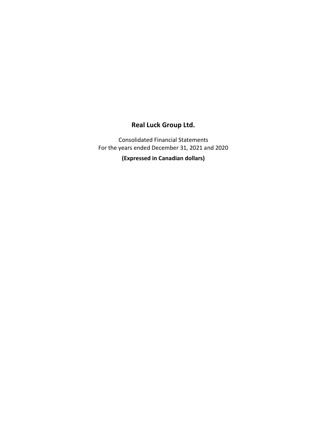# **Real Luck Group Ltd.**

Consolidated Financial Statements For the years ended December 31, 2021 and 2020 **(Expressed in Canadian dollars)**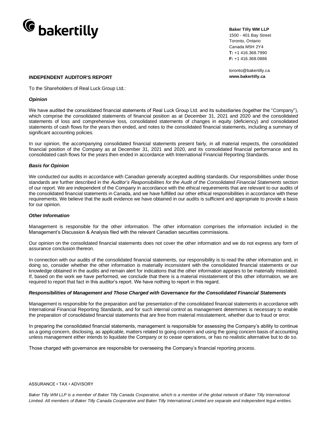

#### **Baker Tilly WM LLP**

1500 - 401 Bay Street Toronto, Ontario Canada M5H 2Y4 **T:** +1 416.368.7990 **F:** +1 416.368.0886

toronto@bakertilly.ca

#### **INDEPENDENT AUDITOR'S REPORT www.bakertilly.ca**

To the Shareholders of Real Luck Group Ltd.:

#### *Opinion*

We have audited the consolidated financial statements of Real Luck Group Ltd. and its subsidiaries (together the "Company"), which comprise the consolidated statements of financial position as at December 31, 2021 and 2020 and the consolidated statements of loss and comprehensive loss, consolidated statements of changes in equity (deficiency) and consolidated statements of cash flows for the years then ended, and notes to the consolidated financial statements, including a summary of significant accounting policies.

In our opinion, the accompanying consolidated financial statements present fairly, in all material respects, the consolidated financial position of the Company as at December 31, 2021 and 2020, and its consolidated financial performance and its consolidated cash flows for the years then ended in accordance with International Financial Reporting Standards.

#### *Basis for Opinion*

We conducted our audits in accordance with Canadian generally accepted auditing standards. Our responsibilities under those standards are further described in the *Auditor's Responsibilities for the Audit of the Consolidated Financial Statements* section of our report. We are independent of the Company in accordance with the ethical requirements that are relevant to our audits of the consolidated financial statements in Canada, and we have fulfilled our other ethical responsibilities in accordance with these requirements. We believe that the audit evidence we have obtained in our audits is sufficient and appropriate to provide a basis for our opinion.

#### *Other Information*

Management is responsible for the other information. The other information comprises the information included in the Management's Discussion & Analysis filed with the relevant Canadian securities commissions.

Our opinion on the consolidated financial statements does not cover the other information and we do not express any form of assurance conclusion thereon.

In connection with our audits of the consolidated financial statements, our responsibility is to read the other information and, in doing so, consider whether the other information is materially inconsistent with the consolidated financial statements or our knowledge obtained in the audits and remain alert for indications that the other information appears to be materially misstated. If, based on the work we have performed, we conclude that there is a material misstatement of this other information, we are required to report that fact in this auditor's report. We have nothing to report in this regard.

#### *Responsibilities of Management and Those Charged with Governance for the Consolidated Financial Statements*

Management is responsible for the preparation and fair presentation of the consolidated financial statements in accordance with International Financial Reporting Standards, and for such internal control as management determines is necessary to enable the preparation of consolidated financial statements that are free from material misstatement, whether due to fraud or error.

In preparing the consolidated financial statements, management is responsible for assessing the Company's ability to continue as a going concern, disclosing, as applicable, matters related to going concern and using the going concern basis of accounting unless management either intends to liquidate the Company or to cease operations, or has no realistic alternative but to do so.

Those charged with governance are responsible for overseeing the Company's financial reporting process.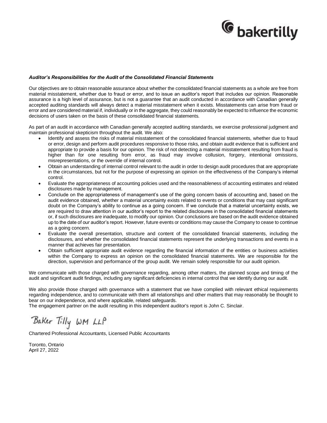

#### *Auditor's Responsibilities for the Audit of the Consolidated Financial Statements*

Our objectives are to obtain reasonable assurance about whether the consolidated financial statements as a whole are free from material misstatement, whether due to fraud or error, and to issue an auditor's report that includes our opinion. Reasonable assurance is a high level of assurance, but is not a guarantee that an audit conducted in accordance with Canadian generally accepted auditing standards will always detect a material misstatement when it exists. Misstatements can arise from fraud or error and are considered material if, individually or in the aggregate, they could reasonably be expected to influence the economic decisions of users taken on the basis of these consolidated financial statements.

As part of an audit in accordance with Canadian generally accepted auditing standards, we exercise professional judgment and maintain professional skepticism throughout the audit. We also:

- Identify and assess the risks of material misstatement of the consolidated financial statements, whether due to fraud or error, design and perform audit procedures responsive to those risks, and obtain audit evidence that is sufficient and appropriate to provide a basis for our opinion. The risk of not detecting a material misstatement resulting from fraud is higher than for one resulting from error, as fraud may involve collusion, forgery, intentional omissions, misrepresentations, or the override of internal control.
- Obtain an understanding of internal control relevant to the audit in order to design audit procedures that are appropriate in the circumstances, but not for the purpose of expressing an opinion on the effectiveness of the Company's internal control.
- Evaluate the appropriateness of accounting policies used and the reasonableness of accounting estimates and related disclosures made by management.
- Conclude on the appropriateness of management's use of the going concern basis of accounting and, based on the audit evidence obtained, whether a material uncertainty exists related to events or conditions that may cast significant doubt on the Company's ability to continue as a going concern. If we conclude that a material uncertainty exists, we are required to draw attention in our auditor's report to the related disclosures in the consolidated financial statements or, if such disclosures are inadequate, to modify our opinion. Our conclusions are based on the audit evidence obtained up to the date of our auditor's report. However, future events or conditions may cause the Company to cease to continue as a going concern.
- Evaluate the overall presentation, structure and content of the consolidated financial statements, including the disclosures, and whether the consolidated financial statements represent the underlying transactions and events in a manner that achieves fair presentation.
- Obtain sufficient appropriate audit evidence regarding the financial information of the entities or business activities within the Company to express an opinion on the consolidated financial statements. We are responsible for the direction, supervision and performance of the group audit. We remain solely responsible for our audit opinion.

We communicate with those charged with governance regarding, among other matters, the planned scope and timing of the audit and significant audit findings, including any significant deficiencies in internal control that we identify during our audit.

We also provide those charged with governance with a statement that we have complied with relevant ethical requirements regarding independence, and to communicate with them all relationships and other matters that may reasonably be thought to bear on our independence, and where applicable, related safeguards.

The engagement partner on the audit resulting in this independent auditor's report is John C. Sinclair.

Baker Tilly WM LLP

Chartered Professional Accountants, Licensed Public Accountants

Toronto, Ontario April 27, 2022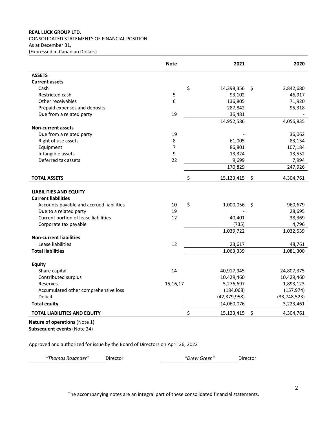# **REAL LUCK GROUP LTD.** CONSOLIDATED STATEMENTS OF FINANCIAL POSITION As at December 31, (Expressed in Canadian Dollars)

|                                                              | <b>Note</b> | 2021             |     | 2020           |
|--------------------------------------------------------------|-------------|------------------|-----|----------------|
| <b>ASSETS</b>                                                |             |                  |     |                |
| <b>Current assets</b>                                        |             |                  |     |                |
| Cash                                                         |             | \$<br>14,398,356 | \$. | 3,842,680      |
| Restricted cash                                              | 5           | 93,102           |     | 46,917         |
| Other receivables                                            | 6           | 136,805          |     | 71,920         |
| Prepaid expenses and deposits                                |             | 287,842          |     | 95,318         |
| Due from a related party                                     | 19          | 36,481           |     |                |
|                                                              |             | 14,952,586       |     | 4,056,835      |
| <b>Non-current assets</b>                                    |             |                  |     |                |
| Due from a related party                                     | 19          |                  |     | 36,062         |
| Right of use assets                                          | 8           | 61,005           |     | 83,134         |
| Equipment                                                    | 7           | 86,801           |     | 107,184        |
| Intangible assets                                            | 9           | 13,324           |     | 13,552         |
| Deferred tax assets                                          | 22          | 9,699            |     | 7,994          |
|                                                              |             | 170,829          |     | 247,926        |
| <b>TOTAL ASSETS</b>                                          |             | \$<br>15,123,415 | \$  | 4,304,761      |
| <b>LIABILITIES AND EQUITY</b><br><b>Current liabilities</b>  |             |                  |     |                |
| Accounts payable and accrued liabilities                     | 10          | \$<br>1,000,056  | Ŝ.  | 960,679        |
| Due to a related party                                       | 19          |                  |     | 28,695         |
| Current portion of lease liabilities                         | 12          | 40,401           |     | 38,369         |
| Corporate tax payable                                        |             | (735)            |     | 4,796          |
|                                                              |             | 1,039,722        |     | 1,032,539      |
| <b>Non-current liabilities</b>                               |             |                  |     |                |
| Lease liabilities                                            | 12          | 23,617           |     | 48,761         |
| <b>Total liabilities</b>                                     |             | 1,063,339        |     | 1,081,300      |
| <b>Equity</b>                                                |             |                  |     |                |
| Share capital                                                | 14          | 40,917,945       |     | 24,807,375     |
| Contributed surplus                                          |             | 10,429,460       |     | 10,429,460     |
| Reserves                                                     | 15, 16, 17  | 5,276,697        |     | 1,893,123      |
| Accumulated other comprehensive loss                         |             | (184, 068)       |     | (157, 974)     |
| Deficit                                                      |             | (42, 379, 958)   |     | (33, 748, 523) |
| <b>Total equity</b>                                          |             | 14,060,076       |     | 3,223,461      |
| <b>TOTAL LIABILITIES AND EQUITY</b>                          |             | \$<br>15,123,415 | \$  | 4,304,761      |
| Nature of operations (Note 1)<br>Subsequent events (Note 24) |             |                  |     |                |

Approved and authorized for issue by the Board of Directors on April 26, 2022

*"Thomas Rosander"* Director *"Drew Green"* Director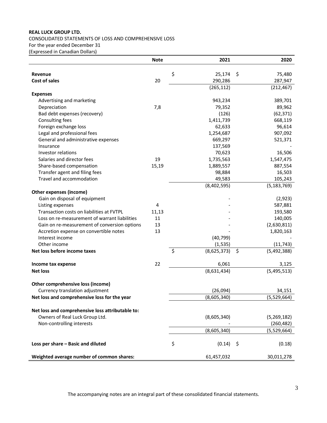# **REAL LUCK GROUP LTD.**

CONSOLIDATED STATEMENTS OF LOSS AND COMPREHENSIVE LOSS For the year ended December 31 (Expressed in Canadian Dollars)

|                                                  | <b>Note</b> | 2021              | 2020              |
|--------------------------------------------------|-------------|-------------------|-------------------|
|                                                  |             |                   |                   |
| Revenue                                          |             | \$<br>25,174      | \$<br>75,480      |
| Cost of sales                                    | 20          | 290,286           | 287,947           |
|                                                  |             | (265, 112)        | (212, 467)        |
| <b>Expenses</b>                                  |             |                   |                   |
| Advertising and marketing                        |             | 943,234           | 389,701           |
| Depreciation                                     | 7,8         | 79,352            | 89,962            |
| Bad debt expenses (recovery)                     |             | (126)             | (62, 371)         |
| Consulting fees                                  |             | 1,411,739         | 668,119           |
| Foreign exchange loss                            |             | 62,633            | 96,614            |
| Legal and professional fees                      |             | 1,254,687         | 907,092           |
| General and administrative expenses              |             | 669,297           | 521,371           |
| Insurance                                        |             | 137,569           |                   |
| Investor relations                               |             | 70,623            | 16,506            |
| Salaries and director fees                       | 19          | 1,735,563         | 1,547,475         |
| Share-based compensation                         | 15,19       | 1,889,557         | 887,554           |
| Transfer agent and filing fees                   |             | 98,884            | 16,503            |
| Travel and accommodation                         |             | 49,583            | 105,243           |
|                                                  |             | (8,402,595)       | (5, 183, 769)     |
| Other expenses (income)                          |             |                   |                   |
| Gain on disposal of equipment                    |             |                   | (2,923)           |
| Listing expenses                                 | 4           |                   | 587,881           |
| Transaction costs on liabilities at FVTPL        | 11,13       |                   | 193,580           |
| Loss on re-measurement of warrant liabilities    | 11          |                   | 140,005           |
| Gain on re-measurement of conversion options     | 13          |                   | (2,630,811)       |
| Accretion expense on convertible notes           | 13          |                   | 1,820,163         |
| Interest income                                  |             | (40, 799)         |                   |
| Other income                                     |             | (1, 535)          | (11, 743)         |
| Net loss before income taxes                     |             | \$<br>(8,625,373) | \$<br>(5,492,388) |
|                                                  |             |                   |                   |
| Income tax expense                               | 22          | 6,061             | 3,125             |
| <b>Net loss</b>                                  |             | (8,631,434)       | (5,495,513)       |
|                                                  |             |                   |                   |
| Other comprehensive loss (income)                |             |                   |                   |
| Currency translation adjustment                  |             | (26,094)          | 34,151            |
| Net loss and comprehensive loss for the year     |             | (8,605,340)       | (5,529,664)       |
|                                                  |             |                   |                   |
| Net loss and comprehensive loss attributable to: |             |                   |                   |
| Owners of Real Luck Group Ltd.                   |             | (8,605,340)       | (5,269,182)       |
| Non-controlling interests                        |             |                   | (260,482)         |
|                                                  |             | (8,605,340)       | (5,529,664)       |
|                                                  |             |                   |                   |
| Loss per share - Basic and diluted               |             | \$<br>(0.14)      | \$<br>(0.18)      |
|                                                  |             |                   |                   |
| Weighted average number of common shares:        |             | 61,457,032        | 30,011,278        |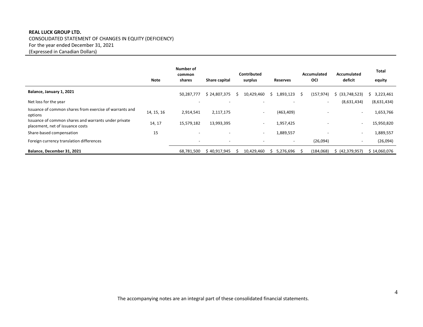# **REAL LUCK GROUP LTD.** CONSOLIDATED STATEMENT OF CHANGES IN EQUITY (DEFICIENCY) For the year ended December 31, 2021 (Expressed in Canadian Dollars)

|                                                                                          | Note       | Number of<br>common<br>shares | Share capital            |    | Contributed<br>surplus   |    | <b>Reserves</b>          |    | Accumulated<br><b>OCI</b> | <b>Accumulated</b><br>deficit | Total<br>equity |
|------------------------------------------------------------------------------------------|------------|-------------------------------|--------------------------|----|--------------------------|----|--------------------------|----|---------------------------|-------------------------------|-----------------|
| Balance, January 1, 2021                                                                 |            | 50,287,777                    | \$24,807,375             | S. | 10,429,460               | S. | 1,893,123                | S. | (157, 974)                | \$ (33,748,523)               | 3,223,461<br>S  |
| Net loss for the year                                                                    |            | $\overline{\phantom{0}}$      | $\overline{\phantom{a}}$ |    |                          |    |                          |    | $\overline{\phantom{a}}$  | (8,631,434)                   | (8,631,434)     |
| Issuance of common shares from exercise of warrants and<br>options                       | 14, 15, 16 | 2,914,541                     | 2,117,175                |    | $\overline{\phantom{a}}$ |    | (463, 409)               |    |                           | $\overline{\phantom{a}}$      | 1,653,766       |
| Issuance of common shares and warrants under private<br>placement, net of issuance costs | 14, 17     | 15,579,182                    | 13,993,395               |    | $\overline{\phantom{a}}$ |    | 1,957,425                |    |                           | $\overline{\phantom{a}}$      | 15,950,820      |
| Share-based compensation                                                                 | 15         |                               |                          |    | $\overline{\phantom{0}}$ |    | 1,889,557                |    |                           | $\overline{\phantom{0}}$      | 1,889,557       |
| Foreign currency translation differences                                                 |            | $\overline{\phantom{a}}$      | $\overline{\phantom{0}}$ |    |                          |    | $\overline{\phantom{a}}$ |    | (26,094)                  | $\overline{\phantom{a}}$      | (26,094)        |
| Balance, December 31, 2021                                                               |            | 68,781,500                    | \$40,917,945             |    | 10,429,460               | S  | 5,276,696                |    | (184,068)                 | (42,379,957)<br>S.            | \$14,060,076    |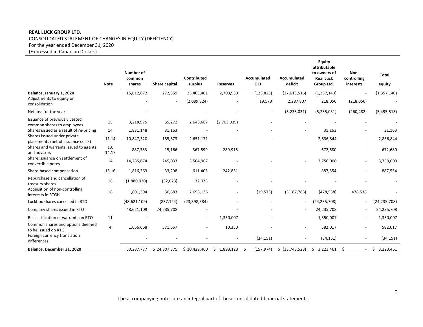# **REAL LUCK GROUP LTD.**

CONSOLIDATED STATEMENT OF CHANGES IN EQUITY (DEFICIENCY) For the year ended December 31, 2020

(Expressed in Canadian Dollars)

|                                                                   | <b>Note</b>    | <b>Number of</b><br>common<br>shares | Share capital | Contributed<br>surplus   | <b>Reserves</b> | <b>Accumulated</b><br>OCI | Accumulated<br>deficit   | <b>Equity</b><br>attributable<br>to owners of<br><b>Real Luck</b><br>Group Ltd. | Non-<br>controlling<br>interests | <b>Total</b><br>equity |
|-------------------------------------------------------------------|----------------|--------------------------------------|---------------|--------------------------|-----------------|---------------------------|--------------------------|---------------------------------------------------------------------------------|----------------------------------|------------------------|
| Balance, January 1, 2020                                          |                | 15,812,872                           | 272,859       | 23,403,401               | 2,703,939       | (123, 823)                | (27,613,516)             | (1,357,140)                                                                     |                                  | (1,357,140)            |
| Adjustments to equity on<br>consolidation                         |                |                                      |               | (2,089,324)              |                 | 19,573                    | 2,287,807                | 218,056                                                                         | (218,056)                        |                        |
| Net loss for the year                                             |                |                                      |               |                          |                 | $\overline{\phantom{a}}$  | (5,235,031)              | (5, 235, 031)                                                                   | (260, 482)                       | (5,495,513)            |
| Issuance of previously vested<br>common shares to employees       | 15             | 3,218,975                            | 55,272        | 2,648,667                | (2,703,939)     |                           |                          |                                                                                 |                                  |                        |
| Shares issued as a result of re-pricing                           | 14             | 1,831,148                            | 31,163        |                          |                 |                           |                          | 31,163                                                                          |                                  | 31,163                 |
| Shares issued under private<br>placements (net of issuance costs) | 11,14          | 10,847,320                           | 185,673       | 2,651,171                |                 |                           | $\overline{\phantom{a}}$ | 2,836,844                                                                       |                                  | 2,836,844              |
| Shares and warrants issued to agents<br>and advisors              | 13,<br>14,17   | 887,383                              | 15,166        | 367,599                  | 289,915         |                           | $\overline{\phantom{0}}$ | 672,680                                                                         |                                  | 672,680                |
| Share issuance on settlement of<br>convertible notes              | 14             | 14,285,674                           | 245,033       | 3,504,967                |                 |                           |                          | 3,750,000                                                                       |                                  | 3,750,000              |
| Share-based compensation                                          | 15,16          | 1,816,363                            | 33,298        | 611,405                  | 242,851         |                           |                          | 887,554                                                                         |                                  | 887,554                |
| Repurchase and cancellation of<br>treasury shares                 | 18             | (1,880,020)                          | (32,023)      | 32,023                   |                 |                           |                          |                                                                                 |                                  |                        |
| Acquisition of non-controlling<br>interests in RTGH               | 18             | 1,801,394                            | 30,683        | 2,698,135                |                 | (19, 573)                 | (3, 187, 783)            | (478, 538)                                                                      | 478,538                          |                        |
| Luckbox shares cancelled in RTO                                   |                | (48, 621, 109)                       | (837, 124)    | (23, 398, 584)           |                 |                           |                          | (24, 235, 708)                                                                  |                                  | (24, 235, 708)         |
| Company shares issued in RTO                                      |                | 48,621,109                           | 24,235,708    |                          |                 |                           |                          | 24,235,708                                                                      |                                  | 24,235,708             |
| Reclassification of warrants on RTO                               | 11             |                                      |               | $\overline{\phantom{a}}$ | 1,350,007       |                           | $\overline{\phantom{a}}$ | 1,350,007                                                                       | $\overline{\phantom{a}}$         | 1,350,007              |
| Common shares and options deemed<br>to be issued on RTO           | $\overline{4}$ | 1,666,668                            | 571,667       |                          | 10,350          |                           | $\overline{\phantom{0}}$ | 582,017                                                                         |                                  | 582,017                |
| Foreign currency translation<br>differences                       |                |                                      |               |                          |                 | (34, 151)                 | $\overline{\phantom{0}}$ | (34, 151)                                                                       | $\overline{\phantom{a}}$         | (34, 151)              |
| Balance, December 31, 2020                                        |                | 50,287,777                           | \$24,807,375  | \$10,429,460             | \$1,893,123     | (157, 974)<br>- Ś         | \$ (33,748,523)          | 3,223,461<br>\$                                                                 | -\$                              | \$<br>3,223,461        |

The accompanying notes are an integral part of these consolidated financial statements.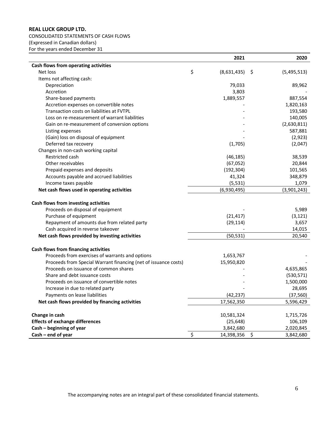# **REAL LUCK GROUP LTD.**

CONSOLIDATED STATEMENTS OF CASH FLOWS (Expressed in Canadian dollars) For the years ended December 31

|                                                                 | 2021              |     | 2020                 |
|-----------------------------------------------------------------|-------------------|-----|----------------------|
| Cash flows from operating activities                            |                   |     |                      |
| Net loss                                                        | \$<br>(8,631,435) | -\$ | (5,495,513)          |
| Items not affecting cash:                                       |                   |     |                      |
| Depreciation                                                    | 79,033            |     | 89,962               |
| Accretion                                                       | 3,803             |     |                      |
| Share-based payments                                            | 1,889,557         |     | 887,554              |
| Accretion expenses on convertible notes                         |                   |     | 1,820,163            |
| Transaction costs on liabilities at FVTPL                       |                   |     | 193,580              |
| Loss on re-measurement of warrant liabilities                   |                   |     | 140,005              |
| Gain on re-measurement of conversion options                    |                   |     | (2,630,811)          |
| Listing expenses                                                |                   |     | 587,881              |
| (Gain) loss on disposal of equipment                            |                   |     | (2,923)              |
| Deferred tax recovery                                           | (1,705)           |     | (2,047)              |
| Changes in non-cash working capital                             |                   |     |                      |
| Restricted cash                                                 | (46, 185)         |     | 38,539               |
| Other receivables                                               | (67, 052)         |     | 20,844               |
| Prepaid expenses and deposits                                   | (192, 304)        |     | 101,565              |
| Accounts payable and accrued liabilities                        | 41,324            |     | 348,879              |
| Income taxes payable                                            | (5, 531)          |     | 1,079                |
| Net cash flows used in operating activities                     | (6,930,495)       |     | (3,901,243)          |
|                                                                 |                   |     |                      |
| Cash flows from investing activities                            |                   |     |                      |
| Proceeds on disposal of equipment                               |                   |     | 5,989                |
| Purchase of equipment                                           | (21, 417)         |     | (3, 121)             |
| Repayment of amounts due from related party                     | (29, 114)         |     | 3,657                |
| Cash acquired in reverse takeover                               |                   |     | 14,015               |
| Net cash flows provided by investing activities                 | (50, 531)         |     | 20,540               |
|                                                                 |                   |     |                      |
| Cash flows from financing activities                            |                   |     |                      |
| Proceeds from exercises of warrants and options                 | 1,653,767         |     |                      |
| Proceeds from Special Warrant financing (net of issuance costs) | 15,950,820        |     |                      |
| Proceeds on issuance of common shares                           |                   |     | 4,635,865            |
| Share and debt issuance costs                                   |                   |     | (530, 571)           |
| Proceeds on issuance of convertible notes                       |                   |     | 1,500,000            |
| Increase in due to related party                                |                   |     | 28,695               |
| Payments on lease liabilities                                   | (42, 237)         |     | (37, 560)            |
| Net cash flows provided by financing activities                 | 17,562,350        |     | 5,596,429            |
|                                                                 | 10,581,324        |     |                      |
| Change in cash<br><b>Effects of exchange differences</b>        |                   |     | 1,715,726<br>106,109 |
| Cash - beginning of year                                        | (25, 648)         |     |                      |
|                                                                 | \$<br>3,842,680   |     | 2,020,845            |
| $Cash - end of year$                                            | 14,398,356        | \$  | 3,842,680            |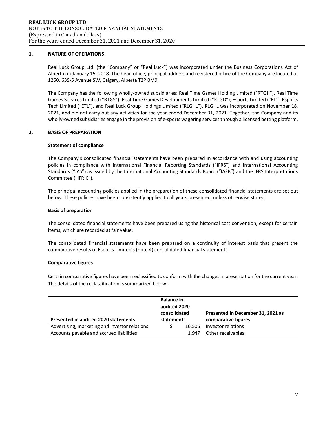## **1. NATURE OF OPERATIONS**

Real Luck Group Ltd. (the "Company" or "Real Luck") was incorporated under the Business Corporations Act of Alberta on January 15, 2018. The head office, principal address and registered office of the Company are located at 1250, 639-5 Avenue SW, Calgary, Alberta T2P 0M9.

The Company has the following wholly-owned subsidiaries: Real Time Games Holding Limited ("RTGH"), Real Time Games Services Limited ("RTGS"), Real Time Games Developments Limited ("RTGD"), Esports Limited ("EL"), Esports Tech Limited ("ETL"), and Real Luck Group Holdings Limited ("RLGHL"). RLGHL was incorporated on November 18, 2021, and did not carry out any activities for the year ended December 31, 2021. Together, the Company and its wholly-owned subsidiaries engage in the provision of e-sports wagering services through a licensed betting platform.

#### **2. BASIS OF PREPARATION**

#### **Statement of compliance**

The Company's consolidated financial statements have been prepared in accordance with and using accounting policies in compliance with International Financial Reporting Standards ("IFRS") and International Accounting Standards ("IAS") as issued by the International Accounting Standards Board ("IASB") and the IFRS Interpretations Committee ("IFRIC").

The principal accounting policies applied in the preparation of these consolidated financial statements are set out below. These policies have been consistently applied to all years presented, unless otherwise stated.

#### **Basis of preparation**

The consolidated financial statements have been prepared using the historical cost convention, except for certain items, which are recorded at fair value.

The consolidated financial statements have been prepared on a continuity of interest basis that present the comparative results of Esports Limited's (note 4) consolidated financial statements.

#### **Comparative figures**

Certain comparative figures have been reclassified to conform with the changes in presentation for the current year. The details of the reclassification is summarized below:

|                                               | <b>Balance in</b><br>audited 2020<br>consolidated |       | Presented in December 31, 2021 as |
|-----------------------------------------------|---------------------------------------------------|-------|-----------------------------------|
| Presented in audited 2020 statements          | statements                                        |       | comparative figures               |
| Advertising, marketing and investor relations | 16.506                                            |       | Investor relations                |
| Accounts payable and accrued liabilities      |                                                   | 1.947 | Other receivables                 |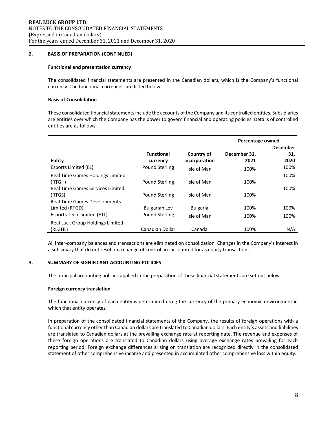## **2. BASIS OF PREPARATION (CONTINUED)**

#### **Functional and presentation currency**

The consolidated financial statements are presented in the Canadian dollars, which is the Company's functional currency. The functional currencies are listed below.

#### **Basis of Consolidation**

These consolidated financial statements include the accounts of the Company and its controlled entities. Subsidiaries are entities over which the Company has the power to govern financial and operating policies. Details of controlled entities are as follows:

|                                     |                      |                 | Percentage owned |                 |
|-------------------------------------|----------------------|-----------------|------------------|-----------------|
|                                     |                      |                 |                  | <b>December</b> |
|                                     | <b>Functional</b>    | Country of      | December 31,     | 31,             |
| Entity                              | currency             | incorporation   | 2021             | 2020            |
| Esports Limited (EL)                | Pound Sterling       | Isle of Man     | 100%             | 100%            |
| Real Time Games Holdings Limited    |                      |                 |                  | 100%            |
| (RTGH)                              | Pound Sterling       | Isle of Man     | 100%             |                 |
| Real Time Games Services Limited    |                      |                 |                  | 100%            |
| (RTGS)                              | Pound Sterling       | Isle of Man     | 100%             |                 |
| <b>Real Time Games Developments</b> |                      |                 |                  |                 |
| Limited (RTGD)                      | <b>Bulgarian Lev</b> | <b>Bulgaria</b> | 100%             | 100%            |
| Esports Tech Limited (ETL)          | Pound Sterling       | Isle of Man     | 100%             | 100%            |
| Real Luck Group Holdings Limited    |                      |                 |                  |                 |
| (RLGHL)                             | Canadian Dollar      | Canada          | 100%             | N/A             |

All inter-company balances and transactions are eliminated on consolidation. Changes in the Company's interest in a subsidiary that do not result in a change of control are accounted for as equity transactions.

#### **3. SUMMARY OF SIGNIFICANT ACCOUNTING POLICIES**

The principal accounting policies applied in the preparation of these financial statements are set out below.

#### **Foreign currency translation**

The functional currency of each entity is determined using the currency of the primary economic environment in which that entity operates.

In preparation of the consolidated financial statements of the Company, the results of foreign operations with a functional currency other than Canadian dollars are translated to Canadian dollars. Each entity's assets and liabilities are translated to Canadian dollars at the prevailing exchange rate at reporting date. The revenue and expenses of these foreign operations are translated to Canadian dollars using average exchange rates prevailing for each reporting period. Foreign exchange differences arising on translation are recognized directly in the consolidated statement of other comprehensive income and presented in accumulated other comprehensive loss within equity.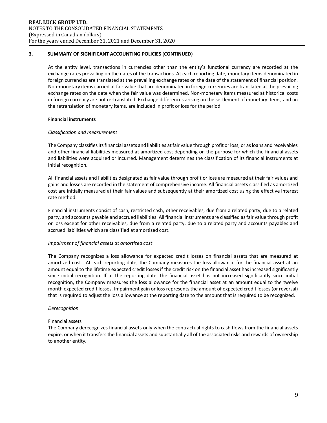At the entity level, transactions in currencies other than the entity's functional currency are recorded at the exchange rates prevailing on the dates of the transactions. At each reporting date, monetary items denominated in foreign currencies are translated at the prevailing exchange rates on the date of the statement of financial position. Non-monetary items carried at fair value that are denominated in foreign currencies are translated at the prevailing exchange rates on the date when the fair value was determined. Non-monetary items measured at historical costs in foreign currency are not re-translated. Exchange differences arising on the settlement of monetary items, and on the retranslation of monetary items, are included in profit or loss for the period.

# **Financial instruments**

# *Classification and measurement*

The Company classifies its financial assets and liabilities at fair value through profit or loss, or as loans and receivables and other financial liabilities measured at amortized cost depending on the purpose for which the financial assets and liabilities were acquired or incurred. Management determines the classification of its financial instruments at initial recognition.

All financial assets and liabilities designated as fair value through profit or loss are measured at their fair values and gains and losses are recorded in the statement of comprehensive income. All financial assets classified as amortized cost are initially measured at their fair values and subsequently at their amortized cost using the effective interest rate method.

Financial instruments consist of cash, restricted cash, other receivables, due from a related party, due to a related party, and accounts payable and accrued liabilities. All financial instruments are classified as fair value through profit or loss except for other receivables, due from a related party, due to a related party and accounts payables and accrued liabilities which are classified at amortized cost.

## *Impairment of financial assets at amortized cost*

The Company recognizes a loss allowance for expected credit losses on financial assets that are measured at amortized cost. At each reporting date, the Company measures the loss allowance for the financial asset at an amount equal to the lifetime expected credit losses if the credit risk on the financial asset has increased significantly since initial recognition. If at the reporting date, the financial asset has not increased significantly since initial recognition, the Company measures the loss allowance for the financial asset at an amount equal to the twelve month expected credit losses. Impairment gain or loss represents the amount of expected credit losses (or reversal) that is required to adjust the loss allowance at the reporting date to the amount that is required to be recognized.

## *Derecognition*

## Financial assets

The Company derecognizes financial assets only when the contractual rights to cash flows from the financial assets expire, or when it transfers the financial assets and substantially all of the associated risks and rewards of ownership to another entity.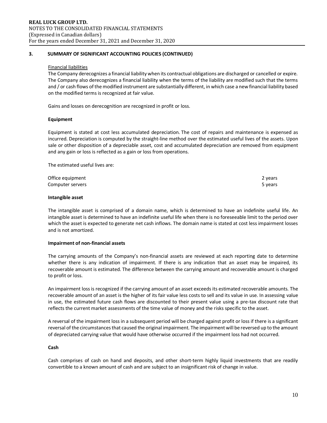#### Financial liabilities

The Company derecognizes a financial liability when its contractual obligations are discharged or cancelled or expire. The Company also derecognizes a financial liability when the terms of the liability are modified such that the terms and / or cash flows of the modified instrument are substantially different, in which case a new financial liability based on the modified terms is recognized at fair value.

Gains and losses on derecognition are recognized in profit or loss.

#### **Equipment**

Equipment is stated at cost less accumulated depreciation. The cost of repairs and maintenance is expensed as incurred. Depreciation is computed by the straight-line method over the estimated useful lives of the assets. Upon sale or other disposition of a depreciable asset, cost and accumulated depreciation are removed from equipment and any gain or loss is reflected as a gain or loss from operations.

The estimated useful lives are:

| Office equipment | 2 years |
|------------------|---------|
| Computer servers | 5 years |

#### **Intangible asset**

The intangible asset is comprised of a domain name, which is determined to have an indefinite useful life. An intangible asset is determined to have an indefinite useful life when there is no foreseeable limit to the period over which the asset is expected to generate net cash inflows. The domain name is stated at cost less impairment losses and is not amortized.

#### **Impairment of non-financial assets**

The carrying amounts of the Company's non-financial assets are reviewed at each reporting date to determine whether there is any indication of impairment. If there is any indication that an asset may be impaired, its recoverable amount is estimated. The difference between the carrying amount and recoverable amount is charged to profit or loss.

An impairment loss is recognized if the carrying amount of an asset exceeds its estimated recoverable amounts. The recoverable amount of an asset is the higher of its fair value less costs to sell and its value in use. In assessing value in use, the estimated future cash flows are discounted to their present value using a pre-tax discount rate that reflects the current market assessments of the time value of money and the risks specific to the asset.

A reversal of the impairment loss in a subsequent period will be charged against profit or loss if there is a significant reversal of the circumstances that caused the original impairment. The impairment will be reversed up to the amount of depreciated carrying value that would have otherwise occurred if the impairment loss had not occurred.

#### **Cash**

Cash comprises of cash on hand and deposits, and other short-term highly liquid investments that are readily convertible to a known amount of cash and are subject to an insignificant risk of change in value.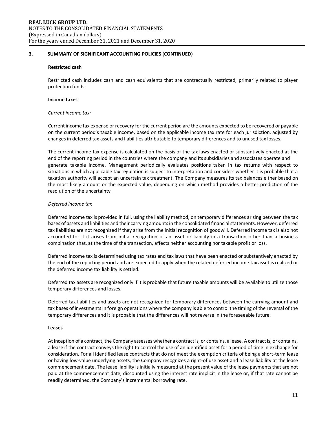#### **Restricted cash**

Restricted cash includes cash and cash equivalents that are contractually restricted, primarily related to player protection funds.

#### **Income taxes**

#### *Current income tax:*

Current income tax expense or recovery for the current period are the amounts expected to be recovered or payable on the current period's taxable income, based on the applicable income tax rate for each jurisdiction, adjusted by changes in deferred tax assets and liabilities attributable to temporary differences and to unused tax losses.

The current income tax expense is calculated on the basis of the tax laws enacted or substantively enacted at the end of the reporting period in the countries where the company and its subsidiaries and associates operate and generate taxable income. Management periodically evaluates positions taken in tax returns with respect to situations in which applicable tax regulation is subject to interpretation and considers whether it is probable that a taxation authority will accept an uncertain tax treatment. The Company measures its tax balances either based on the most likely amount or the expected value, depending on which method provides a better prediction of the resolution of the uncertainty.

#### *Deferred income tax*

Deferred income tax is provided in full, using the liability method, on temporary differences arising between the tax bases of assets and liabilities and their carrying amounts in the consolidated financial statements. However, deferred tax liabilities are not recognized if they arise from the initial recognition of goodwill. Deferred income tax is also not accounted for if it arises from initial recognition of an asset or liability in a transaction other than a business combination that, at the time of the transaction, affects neither accounting nor taxable profit or loss.

Deferred income tax is determined using tax rates and tax laws that have been enacted or substantively enacted by the end of the reporting period and are expected to apply when the related deferred income tax asset is realized or the deferred income tax liability is settled.

Deferred tax assets are recognized only if it is probable that future taxable amounts will be available to utilize those temporary differences and losses.

Deferred tax liabilities and assets are not recognized for temporary differences between the carrying amount and tax bases of investments in foreign operations where the company is able to control the timing of the reversal of the temporary differences and it is probable that the differences will not reverse in the foreseeable future.

#### **Leases**

At inception of a contract, the Company assesses whether a contract is, or contains, a lease. A contract is, or contains, a lease if the contract conveys the right to control the use of an identified asset for a period of time in exchange for consideration. For all identified lease contracts that do not meet the exemption criteria of being a short-term lease or having low-value underlying assets, the Company recognizes a right-of use asset and a lease liability at the lease commencement date. The lease liability is initially measured at the present value of the lease payments that are not paid at the commencement date, discounted using the interest rate implicit in the lease or, if that rate cannot be readily determined, the Company's incremental borrowing rate.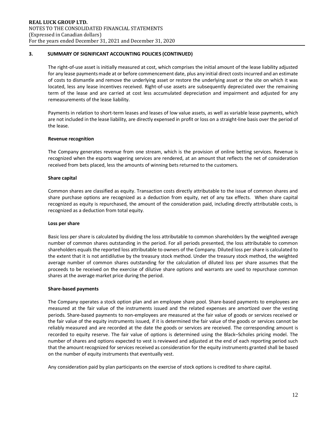The right-of-use asset is initially measured at cost, which comprises the initial amount of the lease liability adjusted for any lease payments made at or before commencement date, plus any initial direct costs incurred and an estimate of costs to dismantle and remove the underlying asset or restore the underlying asset or the site on which it was located, less any lease incentives received. Right-of-use assets are subsequently depreciated over the remaining term of the lease and are carried at cost less accumulated depreciation and impairment and adjusted for any remeasurements of the lease liability.

Payments in relation to short-term leases and leases of low value assets, as well as variable lease payments, which are not included in the lease liability, are directly expensed in profit or loss on a straight-line basis over the period of the lease.

## **Revenue recognition**

The Company generates revenue from one stream, which is the provision of online betting services. Revenue is recognized when the esports wagering services are rendered, at an amount that reflects the net of consideration received from bets placed, less the amounts of winning bets returned to the customers.

## **Share capital**

Common shares are classified as equity. Transaction costs directly attributable to the issue of common shares and share purchase options are recognized as a deduction from equity, net of any tax effects. When share capital recognized as equity is repurchased, the amount of the consideration paid, including directly attributable costs, is recognized as a deduction from total equity.

## **Loss per share**

Basic loss per share is calculated by dividing the loss attributable to common shareholders by the weighted average number of common shares outstanding in the period. For all periods presented, the loss attributable to common shareholders equals the reported loss attributable to owners of the Company. Diluted loss per share is calculated to the extent that it is not antidilutive by the treasury stock method. Under the treasury stock method, the weighted average number of common shares outstanding for the calculation of diluted loss per share assumes that the proceeds to be received on the exercise of dilutive share options and warrants are used to repurchase common shares at the average market price during the period.

#### **Share-based payments**

The Company operates a stock option plan and an employee share pool. Share-based payments to employees are measured at the fair value of the instruments issued and the related expenses are amortized over the vesting periods. Share-based payments to non-employees are measured at the fair value of goods or services received or the fair value of the equity instruments issued, if it is determined the fair value of the goods or services cannot be reliably measured and are recorded at the date the goods or services are received. The corresponding amount is recorded to equity reserve. The fair value of options is determined using the Black–Scholes pricing model. The number of shares and options expected to vest is reviewed and adjusted at the end of each reporting period such that the amount recognized for services received as consideration for the equity instruments granted shall be based on the number of equity instruments that eventually vest.

Any consideration paid by plan participants on the exercise of stock options is credited to share capital.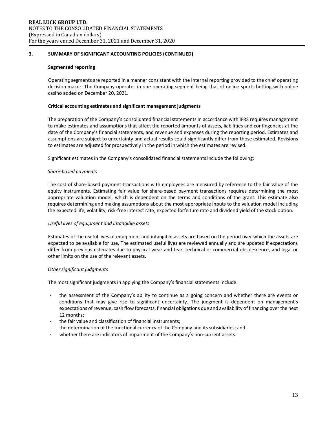## **Segmented reporting**

Operating segments are reported in a manner consistent with the internal reporting provided to the chief operating decision maker. The Company operates in one operating segment being that of online sports betting with online casino added on December 20, 2021.

## **Critical accounting estimates and significant management judgments**

The preparation of the Company's consolidated financial statements in accordance with IFRS requires management to make estimates and assumptions that affect the reported amounts of assets, liabilities and contingencies at the date of the Company's financial statements, and revenue and expenses during the reporting period. Estimates and assumptions are subject to uncertainty and actual results could significantly differ from those estimated. Revisions to estimates are adjusted for prospectively in the period in which the estimates are revised.

Significant estimates in the Company's consolidated financial statements include the following:

#### *Share-based payments*

The cost of share‐based payment transactions with employees are measured by reference to the fair value of the equity instruments. Estimating fair value for share‐based payment transactions requires determining the most appropriate valuation model, which is dependent on the terms and conditions of the grant. This estimate also requires determining and making assumptions about the most appropriate inputs to the valuation model including the expected life, volatility, risk‐free interest rate, expected forfeiture rate and dividend yield of the stock option.

## *Useful lives of equipment and intangible assets*

Estimates of the useful lives of equipment and intangible assets are based on the period over which the assets are expected to be available for use. The estimated useful lives are reviewed annually and are updated if expectations differ from previous estimates due to physical wear and tear, technical or commercial obsolescence, and legal or other limits on the use of the relevant assets.

## *Other significant judgments*

The most significant judgments in applying the Company's financial statements include:

- the assessment of the Company's ability to continue as a going concern and whether there are events or conditions that may give rise to significant uncertainty. The judgment is dependent on management's expectations of revenue, cash flow forecasts, financial obligations due and availability of financing over the next 12 months;
- the fair value and classification of financial instruments;
- the determination of the functional currency of the Company and its subsidiaries; and
- whether there are indicators of impairment of the Company's non-current assets.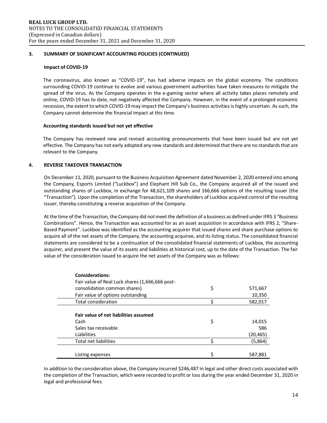## **Impact of COVID-19**

The coronavirus, also known as "COVID-19", has had adverse impacts on the global economy. The conditions surrounding COVID-19 continue to evolve and various government authorities have taken measures to mitigate the spread of the virus. As the Company operates in the e-gaming sector where all activity takes places remotely and online, COVID-19 has to date, not negatively affected the Company. However, in the event of a prolonged economic recession, the extent to which COVID-19 may impact the Company's business activities is highly uncertain. As such, the Company cannot determine the financial impact at this time.

#### **Accounting standards issued but not yet effective**

The Company has reviewed new and revised accounting pronouncements that have been issued but are not yet effective. The Company has not early adopted any new standards and determined that there are no standards that are relevant to the Company.

## **4. REVERSE TAKEOVER TRANSACTION**

On December 11, 2020, pursuant to the Business Acquisition Agreement dated November 2, 2020 entered into among the Company, Esports Limited ("Luckbox") and Elephant Hill Sub Co., the Company acquired all of the issued and outstanding shares of Luckbox, in exchange for 48,621,109 shares and 166,666 options of the resulting issuer (the "Transaction"). Upon the completion of the Transaction, the shareholders of Luckbox acquired control of the resulting issuer, thereby constituting a reverse acquisition of the Company.

At the time of the Transaction, the Company did not meet the definition of a business as defined under IFRS 3 "Business Combinations". Hence, the Transaction was accounted for as an asset acquisition in accordance with IFRS 2, "Share-Based Payment". Luckbox was identified as the accounting acquirer that issued shares and share purchase options to acquire all of the net assets of the Company, the accounting acquiree, and its listing status. The consolidated financial statements are considered to be a continuation of the consolidated financial statements of Luckbox, the accounting acquirer, and present the value of its assets and liabilities at historical cost, up to the date of the Transaction. The fair value of the consideration issued to acquire the net assets of the Company was as follows:

| <b>Considerations:</b>                          |    |          |
|-------------------------------------------------|----|----------|
| Fair value of Real Luck shares (1,666,666 post- |    |          |
| consolidation common shares)                    | \$ | 571,667  |
| Fair value of options outstanding               |    | 10,350   |
| Total consideration                             | ς  | 582,017  |
|                                                 |    |          |
| Fair value of net liabilities assumed           |    |          |
| Cash                                            | \$ | 14,015   |
| Sales tax receivable                            |    | 586      |
| Liabilities                                     |    | (20,465) |
| <b>Total net liabilities</b>                    |    | (5,864)  |
|                                                 |    |          |
| Listing expenses                                |    | 587,881  |

In addition to the consideration above, the Company incurred \$246,487 in legal and other direct costs associated with the completion of the Transaction, which were recorded to profit or loss during the year ended December 31, 2020 in legal and professional fees.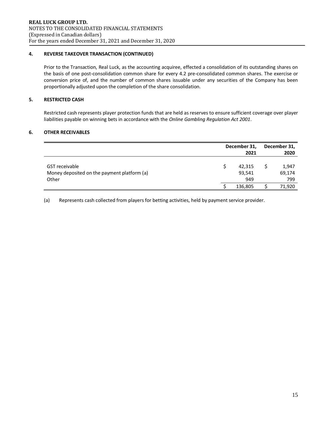# **4. REVERSE TAKEOVER TRANSACTION (CONTINUED)**

Prior to the Transaction, Real Luck, as the accounting acquiree, effected a consolidation of its outstanding shares on the basis of one post-consolidation common share for every 4.2 pre-consolidated common shares. The exercise or conversion price of, and the number of common shares issuable under any securities of the Company has been proportionally adjusted upon the completion of the share consolidation.

# **5. RESTRICTED CASH**

Restricted cash represents player protection funds that are held as reserves to ensure sufficient coverage over player liabilities payable on winning bets in accordance with the *Online Gambling Regulation Act 2001*.

# **6. OTHER RECEIVABLES**

|                                                               | December 31,<br>2021 |  |                 |  |  |
|---------------------------------------------------------------|----------------------|--|-----------------|--|--|
| GST receivable<br>Money deposited on the payment platform (a) | 42,315<br>93,541     |  | 1,947<br>69,174 |  |  |
| Other                                                         | 949                  |  | 799             |  |  |
|                                                               | 136,805              |  | 71,920          |  |  |

(a) Represents cash collected from players for betting activities, held by payment service provider.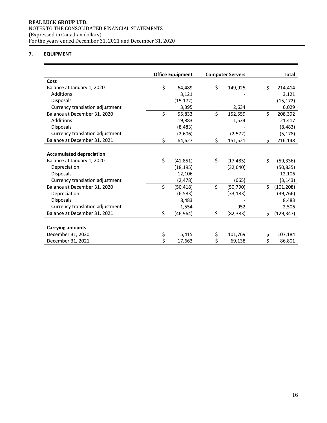# **7. EQUIPMENT**

|                                 | <b>Office Equipment</b> | <b>Computer Servers</b> |    | <b>Total</b> |
|---------------------------------|-------------------------|-------------------------|----|--------------|
| Cost                            |                         |                         |    |              |
| Balance at January 1, 2020      | \$<br>64,489            | \$<br>149,925           | \$ | 214,414      |
| Additions                       | 3,121                   |                         |    | 3,121        |
| <b>Disposals</b>                | (15, 172)               |                         |    | (15, 172)    |
| Currency translation adjustment | 3,395                   | 2,634                   |    | 6,029        |
| Balance at December 31, 2020    | \$<br>55,833            | \$<br>152,559           | \$ | 208,392      |
| Additions                       | 19,883                  | 1,534                   |    | 21,417       |
| Disposals                       | (8, 483)                |                         |    | (8, 483)     |
| Currency translation adjustment | (2,606)                 | (2, 572)                |    | (5, 178)     |
| Balance at December 31, 2021    | \$<br>64,627            | \$<br>151,521           | \$ | 216,148      |
|                                 |                         |                         |    |              |
| <b>Accumulated depreciation</b> |                         |                         |    |              |
| Balance at January 1, 2020      | \$<br>(41, 851)         | \$<br>(17, 485)         | \$ | (59, 336)    |
| Depreciation                    | (18, 195)               | (32, 640)               |    | (50, 835)    |
| <b>Disposals</b>                | 12,106                  |                         |    | 12,106       |
| Currency translation adjustment | (2, 478)                | (665)                   |    | (3, 143)     |
| Balance at December 31, 2020    | \$<br>(50, 418)         | \$<br>(50, 790)         | \$ | (101, 208)   |
| Depreciation                    | (6, 583)                | (33, 183)               |    | (39, 766)    |
| <b>Disposals</b>                | 8,483                   |                         |    | 8,483        |
| Currency translation adjustment | 1,554                   | 952                     |    | 2,506        |
| Balance at December 31, 2021    | \$<br>(46, 964)         | \$<br>(82, 383)         | \$ | (129, 347)   |
|                                 |                         |                         |    |              |
| <b>Carrying amounts</b>         |                         |                         |    |              |
| December 31, 2020               | \$<br>5,415             | \$<br>101,769           | \$ | 107,184      |
| December 31, 2021               | \$<br>17,663            | \$<br>69,138            | Ś. | 86,801       |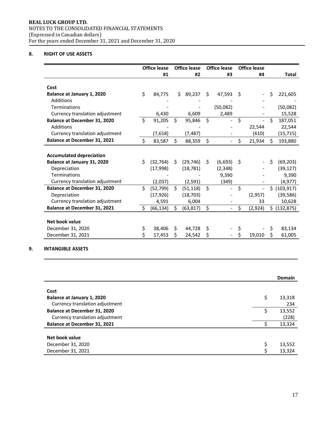# **8. RIGHT OF USE ASSETS**

|                                     |         | <b>Office lease</b> |    | Office lease<br>Office lease |    |                          |    | <b>Office lease</b>      |    |              |
|-------------------------------------|---------|---------------------|----|------------------------------|----|--------------------------|----|--------------------------|----|--------------|
|                                     |         | #1                  |    | #2                           |    | #3                       |    | #4                       |    | <b>Total</b> |
|                                     |         |                     |    |                              |    |                          |    |                          |    |              |
| Cost                                |         |                     |    |                              |    |                          |    |                          |    |              |
| Balance at January 1, 2020          | \$      | 84,775              |    | Ś.<br>89,237                 | \$ | 47,593                   | Ŝ. |                          | Ś  | 221,605      |
| Additions                           |         |                     |    |                              |    |                          |    |                          |    |              |
| Terminations                        |         |                     |    |                              |    | (50,082)                 |    |                          |    | (50,082)     |
| Currency translation adjustment     |         | 6,430               |    | 6,609                        |    | 2,489                    |    |                          |    | 15,528       |
| Balance at December 31, 2020        | $\zeta$ | 91,205              | Ś. | 95,846                       | \$ |                          | \$ | $\overline{\phantom{a}}$ | Ś. | 187,051      |
| Additions                           |         |                     |    |                              |    |                          |    | 22,544                   |    | 22,544       |
| Currency translation adjustment     |         | (7,618)             |    | (7, 487)                     |    |                          |    | (610)                    |    | (15, 715)    |
| <b>Balance at December 31, 2021</b> | Ś       | 83,587              | Ŝ. | 88,359                       | \$ |                          | Ś  | 21,934                   | Ŝ. | 193,880      |
|                                     |         |                     |    |                              |    |                          |    |                          |    |              |
| <b>Accumulated depreciation</b>     |         |                     |    |                              |    |                          |    |                          |    |              |
| Balance at January 31, 2020         | \$      | (32, 764)           | Ŝ. | (29, 746)                    | Ś. | (6, 693)                 | Ŝ  |                          | \$ | (69, 203)    |
| Depreciation                        |         | (17,998)            |    | (18, 781)                    |    | (2, 348)                 |    |                          |    | (39, 127)    |
| Terminations                        |         |                     |    |                              |    | 9,390                    |    |                          |    | 9,390        |
| Currency translation adjustment     |         | (2,037)             |    | (2, 591)                     |    | (349)                    |    |                          |    | (4,977)      |
| <b>Balance at December 31, 2020</b> | \$      | (52, 799)           | Ŝ. | (51, 118)                    | \$ | $\overline{\phantom{0}}$ | \$ | $\blacksquare$           | Ś. | (103, 917)   |
| Depreciation                        |         | (17, 926)           |    | (18, 703)                    |    |                          |    | (2,957)                  |    | (39, 586)    |
| Currency translation adjustment     |         | 4,591               |    | 6,004                        |    |                          |    | 33                       |    | 10,628       |
| Balance at December 31, 2021        | Ś       | (66, 134)           | \$ | (63, 817)                    | \$ |                          | Ś  | (2,924)                  | Ś. | (132, 875)   |
|                                     |         |                     |    |                              |    |                          |    |                          |    |              |
| Net book value                      |         |                     |    |                              |    |                          |    |                          |    |              |
| December 31, 2020                   | \$      | 38,406              | Ŝ. | 44,728                       | \$ |                          | \$ |                          | \$ | 83,134       |
| December 31, 2021                   | Ś       | 17,453              | Ś  | 24,542                       | \$ |                          | Ś  | 19,010                   | Ś. | 61,005       |

# **9. INTANGIBLE ASSETS**

 $\equiv$ 

|                                 | <b>Domain</b> |
|---------------------------------|---------------|
| Cost                            |               |
| Balance at January 1, 2020      | \$<br>13,318  |
| Currency translation adjustment | 234           |
| Balance at December 31, 2020    | 13,552        |
| Currency translation adjustment | (228)         |
| Balance at December 31, 2021    | 13,324        |
| Net book value                  |               |
| December 31, 2020               | 13,552        |
| December 31, 2021               | 13,324        |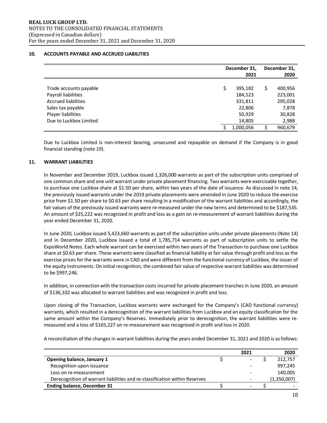## **10. ACCOUNTS PAYABLE AND ACCRUED LIABILITIES**

|                            | December 31,<br>2021 | December 31,<br>2020 |         |  |
|----------------------------|----------------------|----------------------|---------|--|
|                            |                      |                      |         |  |
| Trade accounts payable     | 395,182              |                      | 400,956 |  |
| Payroll liabilities        | 184,523              |                      | 223,001 |  |
| <b>Accrued liabilities</b> | 331,811              |                      | 295,028 |  |
| Sales tax payable          | 22,806               |                      | 7,878   |  |
| Player liabilities         | 50,929               |                      | 30,828  |  |
| Due to Luckbox Limited     | 14,805               |                      | 2,988   |  |
|                            | 1,000,056            |                      | 960,679 |  |

Due to Luckbox Limited is non-interest bearing, unsecured and repayable on demand if the Company is in good financial standing (note 19).

#### **11. WARRANT LIABILITIES**

In November and December 2019, Luckbox issued 1,326,000 warrants as part of the subscription units comprised of one common share and one unit warrant under private placement financing. Two warrants were exercisable together, to purchase one Luckbox share at \$1.50 per share, within two years of the date of issuance. As discussed in note 14, the previously issued warrants under the 2019 private placements were amended in June 2020 to reduce the exercise price from \$1.50 per share to \$0.63 per share resulting in a modification of the warrant liabilities and accordingly, the fair values of the previously issued warrants were re-measured under the new terms and determined to be \$187,535. An amount of \$25,222 was recognized in profit and loss as a gain on re-measurement of warrant liabilities during the year ended December 31, 2020.

In June 2020, Luckbox issued 5,423,660 warrants as part of the subscription units under private placements (Note 14) and in December 2020, Luckbox issued a total of 1,785,714 warrants as part of subscription units to settle the ExpoWorld Notes. Each whole warrant can be exercised within two years of the Transaction to purchase one Luckbox share at \$0.63 per share. These warrants were classified as financial liability at fair value through profit and loss as the exercise prices for the warrants were in CAD and were different from the functional currency of Luckbox, the issuer of the equity instruments. On initial recognition, the combined fair value of respective warrant liabilities was determined to be \$997,246.

In addition, in connection with the transaction costs incurred for private placement tranches in June 2020, an amount of \$136,102 was allocated to warrant liabilities and was recognized in profit and loss.

Upon closing of the Transaction, Luckbox warrants were exchanged for the Company's (CAD functional currency) warrants, which resulted in a derecognition of the warrant liabilities from Luckbox and an equity classification for the same amount within the Company's Reserves. Immediately prior to derecognition, the warrant liabilities were remeasured and a loss of \$165,227 on re-measurement was recognized in profit and loss in 2020.

A reconciliation of the changes in warrant liabilities during the years ended December 31, 2021 and 2020 is as follows:

|                                                                            | 2021 | 2020        |
|----------------------------------------------------------------------------|------|-------------|
| Opening balance, January 1                                                 |      | 212,757     |
| Recognition upon issuance                                                  |      | 997,245     |
| Loss on re-measurement                                                     |      | 140,005     |
| Derecognition of warrant liabilities and re-classification within Reserves |      | (1,350,007) |
| <b>Ending balance, December 31</b>                                         |      |             |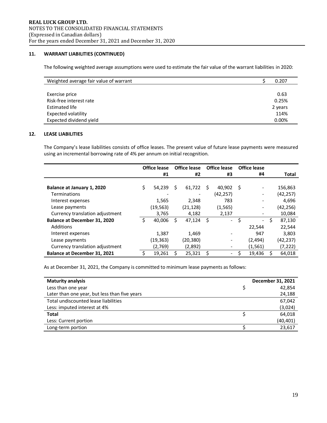# **11. WARRANT LIABILITIES (CONTINUED)**

The following weighted average assumptions were used to estimate the fair value of the warrant liabilities in 2020:

| Weighted average fair value of warrant | 0.207   |
|----------------------------------------|---------|
|                                        |         |
| Exercise price                         | 0.63    |
| Risk-free interest rate                | 0.25%   |
| <b>Estimated life</b>                  | 2 years |
| <b>Expected volatility</b>             | 114%    |
| Expected dividend yield                | 0.00%   |

## **12. LEASE LIABILITIES**

The Company's lease liabilities consists of office leases. The present value of future lease payments were measured using an incremental borrowing rate of 4% per annum on initial recognition.

|                                     | Office lease |    | <b>Office lease</b> |     | <b>Office lease</b>      |    | <b>Office lease</b>          |   |           |
|-------------------------------------|--------------|----|---------------------|-----|--------------------------|----|------------------------------|---|-----------|
|                                     | #1           |    | #2                  |     | #3                       |    | #4                           |   | Total     |
|                                     |              |    |                     |     |                          |    |                              |   |           |
| Balance at January 1, 2020          | \$<br>54,239 | S. | 61,722              | Ŝ.  | 40,902                   | S  | $\qquad \qquad \blacksquare$ |   | 156,863   |
| <b>Terminations</b>                 |              |    |                     |     | (42, 257)                |    | -                            |   | (42, 257) |
| Interest expenses                   | 1,565        |    | 2,348               |     | 783                      |    | -                            |   | 4,696     |
| Lease payments                      | (19, 563)    |    | (21, 128)           |     | (1, 565)                 |    | $\qquad \qquad \blacksquare$ |   | (42,256)  |
| Currency translation adjustment     | 3,765        |    | 4,182               |     | 2,137                    |    | -                            |   | 10,084    |
| <b>Balance at December 31, 2020</b> | 40,006       |    | 47,124              | -\$ | $\frac{1}{2}$            | \$ | $\blacksquare$               | Ś | 87,130    |
| Additions                           |              |    |                     |     |                          |    | 22,544                       |   | 22,544    |
| Interest expenses                   | 1.387        |    | 1,469               |     |                          |    | 947                          |   | 3,803     |
| Lease payments                      | (19,363)     |    | (20, 380)           |     |                          |    | (2,494)                      |   | (42,237)  |
| Currency translation adjustment     | (2,769)      |    | (2,892)             |     |                          |    | (1,561)                      |   | (7, 222)  |
| <b>Balance at December 31, 2021</b> | 19,261       |    | 25,321              | \$  | $\overline{\phantom{a}}$ | Ś  | 19,436                       |   | 64,018    |

As at December 31, 2021, the Company is committed to minimum lease payments as follows:

| <b>Maturity analysis</b>                      | December 31, 2021 |
|-----------------------------------------------|-------------------|
| Less than one year                            | 42,854            |
| Later than one year, but less than five years | 24,188            |
| Total undiscounted lease liabilities          | 67,042            |
| Less: imputed interest at 4%                  | (3,024)           |
| <b>Total</b>                                  | 64,018            |
| Less: Current portion                         | (40,401)          |
| Long-term portion                             | 23,617            |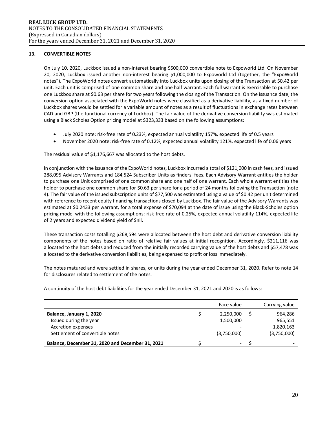# **13. CONVERTIBLE NOTES**

On July 10, 2020, Luckbox issued a non-interest bearing \$500,000 convertible note to Expoworld Ltd. On November 20, 2020, Luckbox issued another non-interest bearing \$1,000,000 to Expoworld Ltd (together, the "ExpoWorld notes"). The ExpoWorld notes convert automatically into Luckbox units upon closing of the Transaction at \$0.42 per unit. Each unit is comprised of one common share and one half warrant. Each full warrant is exercisable to purchase one Luckbox share at \$0.63 per share for two years following the closing of the Transaction. On the issuance date, the conversion option associated with the ExpoWorld notes were classified as a derivative liability, as a fixed number of Luckbox shares would be settled for a variable amount of notes as a result of fluctuations in exchange rates between CAD and GBP (the functional currency of Luckbox). The fair value of the derivative conversion liability was estimated using a Black Scholes Option pricing model at \$323,333 based on the following assumptions:

- July 2020 note: risk-free rate of 0.23%, expected annual volatility 157%, expected life of 0.5 years
- November 2020 note: risk-free rate of 0.12%, expected annual volatility 121%, expected life of 0.06 years

The residual value of \$1,176,667 was allocated to the host debts.

In conjunction with the issuance of the ExpoWorld notes, Luckbox incurred a total of \$121,000 in cash fees, and issued 288,095 Advisory Warrants and 184,524 Subscriber Units as finders' fees. Each Advisory Warrant entitles the holder to purchase one Unit comprised of one common share and one half of one warrant. Each whole warrant entitles the holder to purchase one common share for \$0.63 per share for a period of 24 months following the Transaction (note 4). The fair value of the issued subscription units of \$77,500 was estimated using a value of \$0.42 per unit determined with reference to recent equity financing transactions closed by Luckbox. The fair value of the Advisory Warrants was estimated at \$0.2433 per warrant, for a total expense of \$70,094 at the date of issue using the Black-Scholes option pricing model with the following assumptions: risk-free rate of 0.25%, expected annual volatility 114%, expected life of 2 years and expected dividend yield of \$nil.

These transaction costs totalling \$268,594 were allocated between the host debt and derivative conversion liability components of the notes based on ratio of relative fair values at initial recognition. Accordingly, \$211,116 was allocated to the host debts and reduced from the initially recorded carrying value of the host debts and \$57,478 was allocated to the derivative conversion liabilities, being expensed to profit or loss immediately.

The notes matured and were settled in shares, or units during the year ended December 31, 2020. Refer to note 14 for disclosures related to settlement of the notes.

|                                                  | Face value  | Carrying value |
|--------------------------------------------------|-------------|----------------|
| Balance, January 1, 2020                         | 2,250,000   | 964,286        |
| Issued during the year                           | 1,500,000   | 965,551        |
| Accretion expenses                               |             | 1,820,163      |
| Settlement of convertible notes                  | (3,750,000) | (3,750,000)    |
| Balance, December 31, 2020 and December 31, 2021 |             |                |

A continuity of the host debt liabilities for the year ended December 31, 2021 and 2020 is as follows: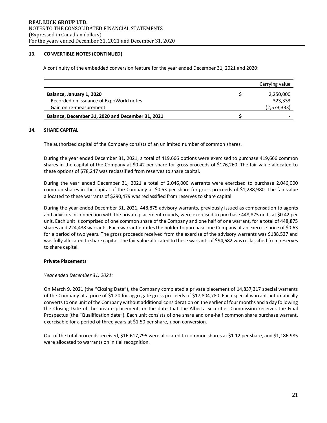## **13. CONVERTIBLE NOTES (CONTINUED)**

A continuity of the embedded conversion feature for the year ended December 31, 2021 and 2020:

|                                                  | Carrying value           |
|--------------------------------------------------|--------------------------|
| Balance, January 1, 2020                         | 2,250,000                |
| Recorded on issuance of ExpoWorld notes          | 323,333                  |
| Gain on re-measurement                           | (2,573,333)              |
| Balance, December 31, 2020 and December 31, 2021 | $\overline{\phantom{0}}$ |

#### **14. SHARE CAPITAL**

The authorized capital of the Company consists of an unlimited number of common shares.

During the year ended December 31, 2021, a total of 419,666 options were exercised to purchase 419,666 common shares in the capital of the Company at \$0.42 per share for gross proceeds of \$176,260. The fair value allocated to these options of \$78,247 was reclassified from reserves to share capital.

During the year ended December 31, 2021 a total of 2,046,000 warrants were exercised to purchase 2,046,000 common shares in the capital of the Company at \$0.63 per share for gross proceeds of \$1,288,980. The fair value allocated to these warrants of \$290,479 was reclassified from reserves to share capital.

During the year ended December 31, 2021, 448,875 advisory warrants, previously issued as compensation to agents and advisors in connection with the private placement rounds, were exercised to purchase 448,875 units at \$0.42 per unit. Each unit is comprised of one common share of the Company and one half of one warrant, for a total of 448,875 shares and 224,438 warrants. Each warrant entitles the holder to purchase one Company at an exercise price of \$0.63 for a period of two years. The gross proceeds received from the exercise of the advisory warrants was \$188,527 and was fully allocated to share capital. The fair value allocated to these warrants of \$94,682 was reclassified from reserves to share capital.

## **Private Placements**

## *Year ended December 31, 2021:*

On March 9, 2021 (the "Closing Date"), the Company completed a private placement of 14,837,317 special warrants of the Company at a price of \$1.20 for aggregate gross proceeds of \$17,804,780. Each special warrant automatically converts to one unit of the Company without additional consideration on the earlier of four months and a day following the Closing Date of the private placement, or the date that the Alberta Securities Commission receives the Final Prospectus (the "Qualification date"). Each unit consists of one share and one-half common share purchase warrant, exercisable for a period of three years at \$1.50 per share, upon conversion.

Out of the total proceeds received, \$16,617,795 were allocated to common shares at \$1.12 per share, and \$1,186,985 were allocated to warrants on initial recognition.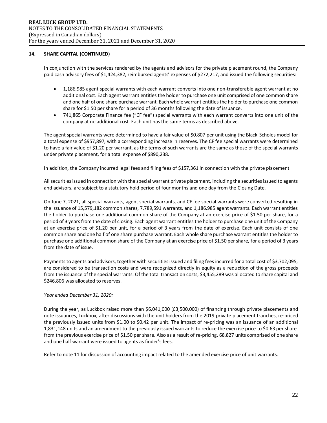## **14. SHARE CAPITAL (CONTINUED)**

In conjunction with the services rendered by the agents and advisors for the private placement round, the Company paid cash advisory fees of \$1,424,382, reimbursed agents' expenses of \$272,217, and issued the following securities:

- 1,186,985 agent special warrants with each warrant converts into one non-transferable agent warrant at no additional cost. Each agent warrant entitles the holder to purchase one unit comprised of one common share and one half of one share purchase warrant. Each whole warrant entitles the holder to purchase one common share for \$1.50 per share for a period of 36 months following the date of issuance.
- 741,865 Corporate Finance fee ("CF fee") special warrants with each warrant converts into one unit of the company at no additional cost. Each unit has the same terms as described above.

The agent special warrants were determined to have a fair value of \$0.807 per unit using the Black-Scholes model for a total expense of \$957,897, with a corresponding increase in reserves. The CF fee special warrants were determined to have a fair value of \$1.20 per warrant, as the terms of such warrants are the same as those of the special warrants under private placement, for a total expense of \$890,238.

In addition, the Company incurred legal fees and filing fees of \$157,361 in connection with the private placement.

All securities issued in connection with the special warrant private placement, including the securities issued to agents and advisors, are subject to a statutory hold period of four months and one day from the Closing Date.

On June 7, 2021, all special warrants, agent special warrants, and CF fee special warrants were converted resulting in the issuance of 15,579,182 common shares, 7,789,591 warrants, and 1,186,985 agent warrants. Each warrant entitles the holder to purchase one additional common share of the Company at an exercise price of \$1.50 per share, for a period of 3 years from the date of closing. Each agent warrant entitles the holder to purchase one unit of the Company at an exercise price of \$1.20 per unit, for a period of 3 years from the date of exercise. Each unit consists of one common share and one half of one share purchase warrant. Each whole share purchase warrant entitles the holder to purchase one additional common share of the Company at an exercise price of \$1.50 per share, for a period of 3 years from the date of issue.

Payments to agents and advisors, together with securities issued and filing fees incurred for a total cost of \$3,702,095, are considered to be transaction costs and were recognized directly in equity as a reduction of the gross proceeds from the issuance of the special warrants. Of the total transaction costs, \$3,455,289 was allocated to share capital and \$246,806 was allocated to reserves.

## *Year ended December 31, 2020:*

During the year, as Luckbox raised more than \$6,041,000 (£3,500,000) of financing through private placements and note issuances, Luckbox, after discussions with the unit holders from the 2019 private placement tranches, re-priced the previously issued units from \$1.00 to \$0.42 per unit. The impact of re-pricing was an issuance of an additional 1,831,148 units and an amendment to the previously issued warrants to reduce the exercise price to \$0.63 per share from the previous exercise price of \$1.50 per share. Also as a result of re-pricing, 68,827 units comprised of one share and one half warrant were issued to agents as finder's fees.

Refer to note 11 for discussion of accounting impact related to the amended exercise price of unit warrants.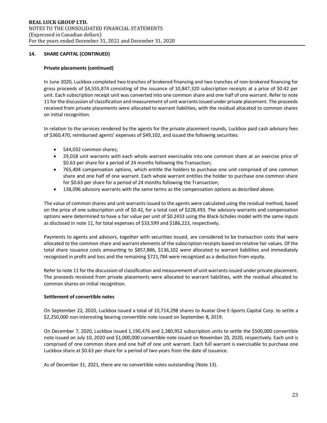#### **14. SHARE CAPITAL (CONTINUED)**

#### **Private placements (continued)**

In June 2020, Luckbox completed two tranches of brokered financing and two tranches of non-brokered financing for gross proceeds of \$4,555,874 consisting of the issuance of 10,847,320 subscription receipts at a price of \$0.42 per unit. Each subscription receipt unit was converted into one common share and one half of one warrant. Refer to note 11 for the discussion of classification and measurement of unit warrants issued under private placement. The proceeds received from private placements were allocated to warrant liabilities, with the residual allocated to common shares on initial recognition.

In relation to the services rendered by the agents for the private placement rounds, Luckbox paid cash advisory fees of \$360,470, reimbursed agents' expenses of \$49,102, and issued the following securities:

- 544,032 common shares;
- 29,018 unit warrants with each whole warrant exercisable into one common share at an exercise price of \$0.63 per share for a period of 24 months following the Transaction;
- 765,404 compensation options, which entitle the holders to purchase one unit comprised of one common share and one half of one warrant. Each whole warrant entitles the holder to purchase one common share for \$0.63 per share for a period of 24 months following the Transaction;
- 138,096 advisory warrants with the same terms as the compensation options as described above.

The value of common shares and unit warrantsissued to the agents were calculated using the residual method, based on the price of one subscription unit of \$0.42, for a total cost of \$228,493. The advisory warrants and compensation options were determined to have a fair value per unit of \$0.2433 using the Black-Scholes model with the same inputs as disclosed in note 11, for total expenses of \$33,599 and \$186,223, respectively.

Payments to agents and advisors, together with securities issued, are considered to be transaction costs that were allocated to the common share and warrant elements of the subscription receipts based on relative fair values. Of the total share issuance costs amounting to \$857,886, \$136,102 were allocated to warrant liabilities and immediately recognized in profit and loss and the remaining \$721,784 were recognized as a deduction from equity.

Refer to note 11 for the discussion of classification and measurement of unit warrants issued under private placement. The proceeds received from private placements were allocated to warrant liabilities, with the residual allocated to common shares on initial recognition.

### **Settlement of convertible notes**

On September 22, 2020, Luckbox issued a total of 10,714,298 shares to Avatar One E-Sports Capital Corp. to settle a \$2,250,000 non-interesting bearing convertible note issued on September 8, 2019.

On December 7, 2020, Luckbox issued 1,190,476 and 2,380,952 subscription units to settle the \$500,000 convertible note issued on July 10, 2020 and \$1,000,000 convertible note issued on November 20, 2020, respectively. Each unit is comprised of one common share and one half of one unit warrant. Each full warrant is exercisable to purchase one Luckbox share at \$0.63 per share for a period of two years from the date of issuance.

As of December 31, 2021, there are no convertible notes outstanding (Note 13).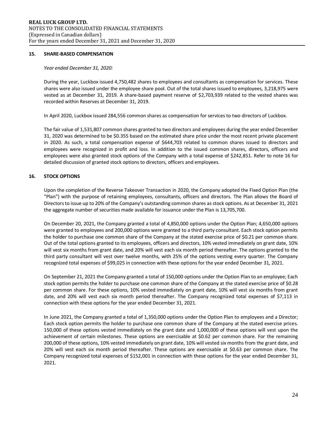#### **15. SHARE-BASED COMPENSATION**

#### *Year ended December 31, 2020:*

During the year, Luckbox issued 4,750,482 shares to employees and consultants as compensation for services. These shares were also issued under the employee share pool. Out of the total shares issued to employees, 3,218,975 were vested as at December 31, 2019. A share-based payment reserve of \$2,703,939 related to the vested shares was recorded within Reserves at December 31, 2019.

In April 2020, Luckbox issued 284,556 common shares as compensation for services to two directors of Luckbox.

The fair value of 1,531,807 common shares granted to two directors and employees during the year ended December 31, 2020 was determined to be \$0.355 based on the estimated share price under the most recent private placement in 2020. As such, a total compensation expense of \$644,703 related to common shares issued to directors and employees were recognized in profit and loss. In addition to the issued common shares, directors, officers and employees were also granted stock options of the Company with a total expense of \$242,851. Refer to note 16 for detailed discussion of granted stock options to directors, officers and employees.

# **16. STOCK OPTIONS**

Upon the completion of the Reverse Takeover Transaction in 2020, the Company adopted the Fixed Option Plan (the "Plan") with the purpose of retaining employees, consultants, officers and directors. The Plan allows the Board of Directors to issue up to 20% of the Company's outstanding common shares as stock options. As at December 31, 2021 the aggregate number of securities made available for issuance under the Plan is 13,705,700.

On December 20, 2021, the Company granted a total of 4,850,000 options under the Option Plan; 4,650,000 options were granted to employees and 200,000 options were granted to a third party consultant. Each stock option permits the holder to purchase one common share of the Company at the stated exercise price of \$0.21 per common share. Out of the total options granted to its employees, officers and directors, 10% vested immediately on grant date, 10% will vest six months from grant date, and 20% will vest each six month period thereafter. The options granted to the third party consultant will vest over twelve months, with 25% of the options vesting every quarter. The Company recognized total expenses of \$99,025 in connection with these options for the year ended December 31, 2021.

On September 21, 2021 the Company granted a total of 150,000 options under the Option Plan to an employee; Each stock option permits the holder to purchase one common share of the Company at the stated exercise price of \$0.28 per common share. For these options, 10% vested immediately on grant date, 10% will vest six months from grant date, and 20% will vest each six month period thereafter. The Company recognized total expenses of \$7,113 in connection with these options for the year ended December 31, 2021.

In June 2021, the Company granted a total of 1,350,000 options under the Option Plan to employees and a Director; Each stock option permits the holder to purchase one common share of the Company at the stated exercise prices. 150,000 of these options vested immediately on the grant date and 1,000,000 of these options will vest upon the achievement of certain milestones. These options are exercisable at \$0.62 per common share. For the remaining 200,000 of these options, 10% vested immediately on grant date, 10% will vested six months from the grant date, and 20% will vest each six month period thereafter. These options are exercisable at \$0.63 per common share. The Company recognized total expenses of \$152,001 in connection with these options for the year ended December 31, 2021.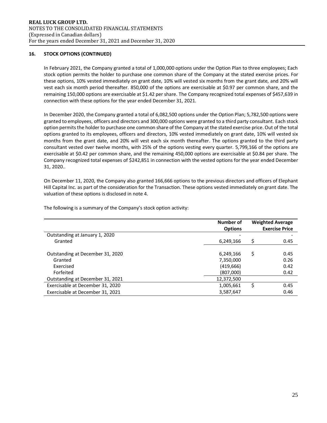## **16. STOCK OPTIONS (CONTINUED)**

In February 2021, the Company granted a total of 1,000,000 options under the Option Plan to three employees; Each stock option permits the holder to purchase one common share of the Company at the stated exercise prices. For these options, 10% vested immediately on grant date, 10% will vested six months from the grant date, and 20% will vest each six month period thereafter. 850,000 of the options are exercisable at \$0.97 per common share, and the remaining 150,000 options are exercisable at \$1.42 per share. The Company recognized total expenses of \$457,639 in connection with these options for the year ended December 31, 2021.

In December 2020, the Company granted a total of 6,082,500 options under the Option Plan; 5,782,500 options were granted to employees, officers and directors and 300,000 options were granted to a third party consultant. Each stock option permits the holder to purchase one common share of the Company at the stated exercise price. Out of the total options granted to its employees, officers and directors, 10% vested immediately on grant date, 10% will vested six months from the grant date, and 20% will vest each six month thereafter. The options granted to the third party consultant vested over twelve months, with 25% of the options vesting every quarter. 5,799,166 of the options are exercisable at \$0.42 per common share, and the remaining 450,000 options are exercisable at \$0.84 per share. The Company recognized total expenses of \$242,851 in connection with the vested options for the year ended December 31, 2020..

On December 11, 2020, the Company also granted 166,666 options to the previous directors and officers of Elephant Hill Capital Inc. as part of the consideration for the Transaction. These options vested immediately on grant date. The valuation of these options is disclosed in note 4.

|                                  | Number of      |   | <b>Weighted Average</b> |
|----------------------------------|----------------|---|-------------------------|
|                                  | <b>Options</b> |   | <b>Exercise Price</b>   |
| Outstanding at January 1, 2020   |                |   |                         |
| Granted                          | 6,249,166      | Ś | 0.45                    |
|                                  |                |   |                         |
| Outstanding at December 31, 2020 | 6,249,166      | S | 0.45                    |
| Granted                          | 7,350,000      |   | 0.26                    |
| Exercised                        | (419, 666)     |   | 0.42                    |
| Forfeited                        | (807,000)      |   | 0.42                    |
| Outstanding at December 31, 2021 | 12,372,500     |   |                         |
| Exercisable at December 31, 2020 | 1,005,661      | Ś | 0.45                    |
| Exercisable at December 31, 2021 | 3,587,647      |   | 0.46                    |

The following is a summary of the Company's stock option activity: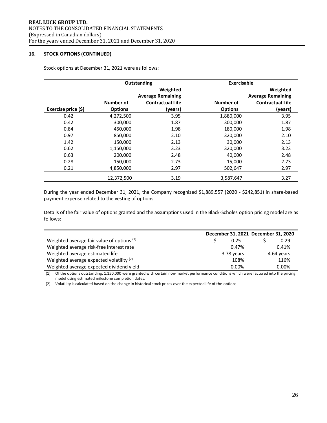## **16. STOCK OPTIONS (CONTINUED)**

Stock options at December 31, 2021 were as follows:

|                     |                | Outstanding              | <b>Exercisable</b> |                          |  |
|---------------------|----------------|--------------------------|--------------------|--------------------------|--|
|                     |                | Weighted                 |                    | Weighted                 |  |
|                     |                | <b>Average Remaining</b> |                    | <b>Average Remaining</b> |  |
|                     | Number of      | <b>Contractual Life</b>  | Number of          | <b>Contractual Life</b>  |  |
| Exercise price (\$) | <b>Options</b> | (years)                  | <b>Options</b>     | (years)                  |  |
| 0.42                | 4,272,500      | 3.95                     | 1,880,000          | 3.95                     |  |
| 0.42                | 300,000        | 1.87                     | 300,000            | 1.87                     |  |
| 0.84                | 450.000        | 1.98                     | 180,000            | 1.98                     |  |
| 0.97                | 850,000        | 2.10                     | 320,000            | 2.10                     |  |
| 1.42                | 150,000        | 2.13                     | 30,000             | 2.13                     |  |
| 0.62                | 1,150,000      | 3.23                     | 320,000            | 3.23                     |  |
| 0.63                | 200,000        | 2.48                     | 40,000             | 2.48                     |  |
| 0.28                | 150,000        | 2.73                     | 15,000             | 2.73                     |  |
| 0.21                | 4,850,000      | 2.97                     | 502,647            | 2.97                     |  |
|                     | 12,372,500     | 3.19                     | 3,587,647          | 3.27                     |  |

During the year ended December 31, 2021, the Company recognized \$1,889,557 (2020 - \$242,851) in share-based payment expense related to the vesting of options.

Details of the fair value of options granted and the assumptions used in the Black-Scholes option pricing model are as follows:

|                                            | December 31, 2021 December 31, 2020 |            |
|--------------------------------------------|-------------------------------------|------------|
| Weighted average fair value of options (1) | 0.25                                | 0.29       |
| Weighted average risk-free interest rate   | 0.47%                               | 0.41%      |
| Weighted average estimated life            | 3.78 years                          | 4.64 years |
| Weighted average expected volatility $(2)$ | 108%                                | 116%       |
| Weighted average expected dividend yield   | 0.00%                               | 0.00%      |

(1) Of the options outstanding, 1,150,000 were granted with certain non-market performance conditions which were factored into the pricing model using estimated milestone completion dates.

(2) Volatility is calculated based on the change in historical stock prices over the expected life of the options.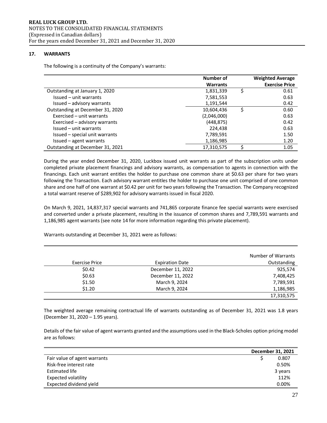# **17. WARRANTS**

The following is a continuity of the Company's warrants:

|                                  | Number of       |   | <b>Weighted Average</b> |
|----------------------------------|-----------------|---|-------------------------|
|                                  | <b>Warrants</b> |   | <b>Exercise Price</b>   |
| Outstanding at January 1, 2020   | 1,831,339       | S | 0.61                    |
| Issued - unit warrants           | 7,581,553       |   | 0.63                    |
| Issued - advisory warrants       | 1,191,544       |   | 0.42                    |
| Outstanding at December 31, 2020 | 10,604,436      |   | 0.60                    |
| Exercised - unit warrants        | (2,046,000)     |   | 0.63                    |
| Exercised - advisory warrants    | (448,875)       |   | 0.42                    |
| Issued – unit warrants           | 224,438         |   | 0.63                    |
| Issued - special unit warrants   | 7,789,591       |   | 1.50                    |
| Issued - agent warrants          | 1,186,985       |   | 1.20                    |
| Outstanding at December 31, 2021 | 17,310,575      |   | 1.05                    |

During the year ended December 31, 2020, Luckbox issued unit warrants as part of the subscription units under completed private placement financings and advisory warrants, as compensation to agents in connection with the financings. Each unit warrant entitles the holder to purchase one common share at \$0.63 per share for two years following the Transaction. Each advisory warrant entitles the holder to purchase one unit comprised of one common share and one half of one warrant at \$0.42 per unit for two years following the Transaction. The Company recognized a total warrant reserve of \$289,902 for advisory warrants issued in fiscal 2020.

On March 9, 2021, 14,837,317 special warrants and 741,865 corporate finance fee special warrants were exercised and converted under a private placement, resulting in the issuance of common shares and 7,789,591 warrants and 1,186,985 agent warrants (see note 14 for more information regarding this private placement).

Warrants outstanding at December 31, 2021 were as follows:

|                |                        | Number of Warrants |
|----------------|------------------------|--------------------|
| Exercise Price | <b>Expiration Date</b> | Outstanding        |
| \$0.42         | December 11, 2022      | 925,574            |
| \$0.63         | December 11, 2022      | 7,408,425          |
| \$1.50         | March 9, 2024          | 7,789,591          |
| \$1.20         | March 9, 2024          | 1,186,985          |
|                |                        | 17,310,575         |

The weighted average remaining contractual life of warrants outstanding as of December 31, 2021 was 1.8 years (December 31, 2020 – 1.95 years).

Details of the fair value of agent warrants granted and the assumptions used in the Black-Scholes option pricing model are as follows:

|                              | December 31, 2021 |         |  |
|------------------------------|-------------------|---------|--|
| Fair value of agent warrants |                   | 0.807   |  |
| Risk-free interest rate      |                   | 0.50%   |  |
| Estimated life               |                   | 3 years |  |
| Expected volatility          |                   | 112%    |  |
| Expected dividend yield      |                   | 0.00%   |  |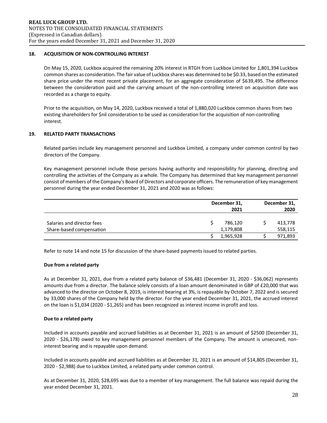## **18. ACQUISITION OF NON-CONTROLLING INTEREST**

On May 15, 2020, Luckbox acquired the remaining 20% interest in RTGH from Luckbox Limited for 1,801,394 Luckbox common shares as consideration. The fair value of Luckbox shares was determined to be \$0.33, based on the estimated share price under the most recent private placement, for an aggregate consideration of \$639,495. The difference between the consideration paid and the carrying amount of the non-controlling interest on acquisition date was recorded as a charge to equity.

Prior to the acquisition, on May 14, 2020, Luckbox received a total of 1,880,020 Luckbox common shares from two existing shareholders for \$nil consideration to be used as consideration for the acquisition of non-controlling interest.

## **19. RELATED PARTY TRANSACTIONS**

Related parties include key management personnel and Luckbox Limited, a company under common control by two directors of the Company.

Key management personnel include those persons having authority and responsibility for planning, directing and controlling the activities of the Company as a whole. The Company has determined that key management personnel consist of members of the Company's Board of Directors and corporate officers. The remuneration of key management personnel during the year ended December 31, 2021 and 2020 was as follows:

|                            | December 31,<br>2021 | December 31,<br>2020 |
|----------------------------|----------------------|----------------------|
|                            |                      |                      |
| Salaries and director fees | 786,120              | 413,778              |
| Share-based compensation   | 1,179,808            | 558,115              |
|                            | 1,965,928            | 971,893              |

Refer to note 14 and note 15 for discussion of the share-based payments issued to related parties.

#### **Due from a related party**

As at December 31, 2021, due from a related party balance of \$36,481 (December 31, 2020 - \$36,062) represents amounts due from a director. The balance solely consists of a loan amount denominated in GBP of £20,000 that was advanced to the director on October 8, 2019, is interest bearing at 3%, is repayable by October 7, 2022 and is secured by 33,000 shares of the Company held by the director. For the year ended December 31, 2021, the accrued interest on the loan is \$1,034 (2020 - \$1,265) and has been recognized as interest income in profit and loss.

#### **Due to a related party**

Included in accounts payable and accrued liabilities as at December 31, 2021 is an amount of \$2500 (December 31, 2020 - \$26,178) owed to key management personnel members of the Company. The amount is unsecured, noninterest bearing and is repayable upon demand.

Included in accounts payable and accrued liabilities as at December 31, 2021 is an amount of \$14,805 (December 31, 2020 - \$2,988) due to Luckbox Limited, a related party under common control.

As at December 31, 2020, \$28,695 was due to a member of key management. The full balance was repaid during the year ended December 31, 2021.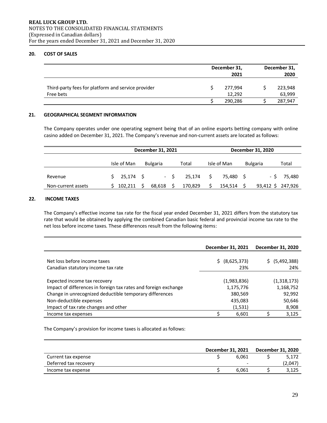## **20. COST OF SALES**

|                                                                 | December 31,<br>2021 | December 31,<br>2020 |                   |  |
|-----------------------------------------------------------------|----------------------|----------------------|-------------------|--|
| Third-party fees for platform and service provider<br>Free bets | 277.994<br>12,292    |                      | 223,948<br>63,999 |  |
|                                                                 | 290,286              |                      | 287,947           |  |

# **21. GEOGRAPHICAL SEGMENT INFORMATION**

The Company operates under one operating segment being that of an online esports betting company with online casino added on December 31, 2021. The Company's revenue and non-current assets are located as follows:

|                    | December 31, 2021 |             |  |                 |      | December 31, 2020 |  |             |  |                   |             |
|--------------------|-------------------|-------------|--|-----------------|------|-------------------|--|-------------|--|-------------------|-------------|
|                    |                   | Isle of Man |  | <b>Bulgaria</b> |      | Total             |  | Isle of Man |  | <b>Bulgaria</b>   | Total       |
|                    |                   |             |  |                 |      |                   |  |             |  |                   |             |
| Revenue            |                   | 25,174 \$   |  |                 | $-S$ | 25.174            |  | 75.480 \$   |  |                   | $-S$ 75.480 |
| Non-current assets |                   | 102.211     |  | 68.618          |      | 170.829           |  | 154,514     |  | 93,412 \$ 247,926 |             |

#### **22. INCOME TAXES**

The Company's effective income tax rate for the fiscal year ended December 31, 2021 differs from the statutory tax rate that would be obtained by applying the combined Canadian basic federal and provincial income tax rate to the net loss before income taxes. These differences result from the following items:

|                                                                 | December 31, 2021 | December 31, 2020 |
|-----------------------------------------------------------------|-------------------|-------------------|
| Net loss before income taxes                                    | \$ (8,625,373)    | (5,492,388)       |
| Canadian statutory income tax rate                              | 23%               | 24%               |
| Expected income tax recovery                                    | (1,983,836)       | (1,318,173)       |
| Impact of differences in foreign tax rates and foreign exchange | 1,175,776         | 1,168,752         |
| Change in unrecognized deductible temporary differences         | 380,569           | 92,992            |
| Non-deductible expenses                                         | 435,083           | 50,646            |
| Impact of tax rate changes and other                            | (1,531)           | 8,908             |
| Income tax expenses                                             | 6,601             | 3,125             |

The Company's provision for income taxes is allocated as follows:

|                       | December 31, 2021 | <b>December 31, 2020</b> |         |  |
|-----------------------|-------------------|--------------------------|---------|--|
| Current tax expense   | 6.061             |                          | 5,172   |  |
| Deferred tax recovery |                   |                          | (2,047) |  |
| Income tax expense    | 6.061             |                          | 3,125   |  |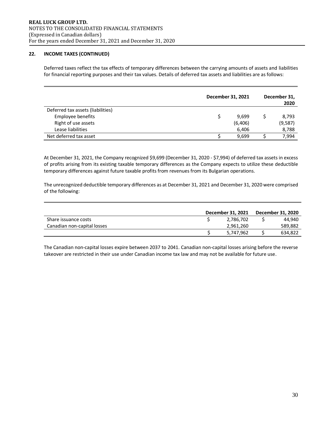# **22. INCOME TAXES (CONTINUED)**

Deferred taxes reflect the tax effects of temporary differences between the carrying amounts of assets and liabilities for financial reporting purposes and their tax values. Details of deferred tax assets and liabilities are as follows:

|                                   | December 31, 2021 |  |         |  |
|-----------------------------------|-------------------|--|---------|--|
| Deferred tax assets (liabilities) |                   |  |         |  |
| Employee benefits                 | 9,699             |  | 8,793   |  |
| Right of use assets               | (6,406)           |  | (9,587) |  |
| Lease liabilities                 | 6,406             |  | 8,788   |  |
| Net deferred tax asset            | 9.699             |  | 7,994   |  |

At December 31, 2021, the Company recognized \$9,699 (December 31, 2020 - \$7,994) of deferred tax assets in excess of profits arising from its existing taxable temporary differences as the Company expects to utilize these deductible temporary differences against future taxable profits from revenues from its Bulgarian operations.

The unrecognized deductible temporary differences as at December 31, 2021 and December 31, 2020 were comprised of the following:

|                             | December 31, 2021 | December 31, 2020 |         |  |
|-----------------------------|-------------------|-------------------|---------|--|
| Share issuance costs        | 2,786,702         |                   | 44.940  |  |
| Canadian non-capital losses | 2,961,260         |                   | 589,882 |  |
|                             | 5,747,962         |                   | 634,822 |  |

The Canadian non-capital losses expire between 2037 to 2041. Canadian non-capital losses arising before the reverse takeover are restricted in their use under Canadian income tax law and may not be available for future use.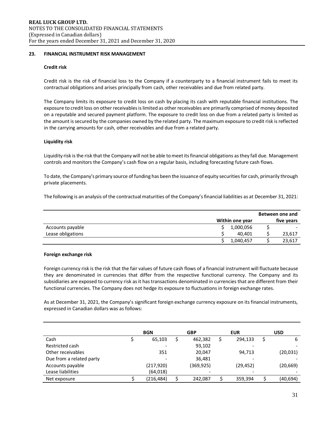## **23. FINANCIAL INSTRUMENT RISK MANAGEMENT**

#### **Credit risk**

Credit risk is the risk of financial loss to the Company if a counterparty to a financial instrument fails to meet its contractual obligations and arises principally from cash, other receivables and due from related party.

The Company limits its exposure to credit loss on cash by placing its cash with reputable financial institutions. The exposure to credit loss on other receivables is limited as other receivables are primarily comprised of money deposited on a reputable and secured payment platform. The exposure to credit loss on due from a related party is limited as the amount is secured by the companies owned by the related party. The maximum exposure to credit risk is reflected in the carrying amounts for cash, other receivables and due from a related party.

#### **Liquidity risk**

Liquidity risk is the risk that the Company will not be able to meet its financial obligations as they fall due. Management controls and monitors the Company's cash flow on a regular basis, including forecasting future cash flows.

To date, the Company's primary source of funding has been the issuance of equity securities for cash, primarily through private placements.

The following is an analysis of the contractual maturities of the Company's financial liabilities as at December 31, 2021:

|                   |                 | Between one and |
|-------------------|-----------------|-----------------|
|                   | Within one year | five years      |
| Accounts payable  | 1,000,056       |                 |
| Lease obligations | 40.401          | 23,617          |
|                   | 1,040,457       | 23,617          |

#### **Foreign exchange risk**

Foreign currency risk is the risk that the fair values of future cash flows of a financial instrument will fluctuate because they are denominated in currencies that differ from the respective functional currency. The Company and its subsidiaries are exposed to currency risk as it has transactions denominated in currencies that are different from their functional currencies. The Company does not hedge its exposure to fluctuations in foreign exchange rates.

As at December 31, 2021, the Company's significant foreign exchange currency exposure on its financial instruments, expressed in Canadian dollars was as follows:

|                          | <b>BGN</b> | <b>GBP</b>               | <b>EUR</b> | <b>USD</b> |
|--------------------------|------------|--------------------------|------------|------------|
| Cash                     | 65,103     | 462,382                  | 294,133    | \$<br>6    |
| Restricted cash          |            | 93,102                   |            |            |
| Other receivables        | 351        | 20,047                   | 94,713     | (20, 031)  |
| Due from a related party |            | 36,481                   |            |            |
| Accounts payable         | (217, 920) | (369, 925)               | (29, 452)  | (20, 669)  |
| Lease liabilities        | (64, 018)  | $\overline{\phantom{0}}$ |            |            |
| Net exposure             | (216,484)  | 242,087                  | 359,394    | (40, 694)  |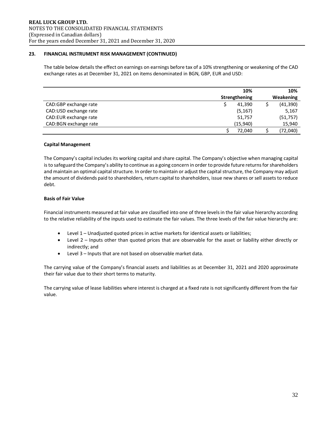# **23. FINANCIAL INSTRUMENT RISK MANAGEMENT (CONTINUED)**

The table below details the effect on earnings on earnings before tax of a 10% strengthening or weakening of the CAD exchange rates as at December 31, 2021 on items denominated in BGN, GBP, EUR and USD:

|                       | 10%           | 10%       |
|-----------------------|---------------|-----------|
|                       | Strengthening | Weakening |
| CAD:GBP exchange rate | 41.390        | (41, 390) |
| CAD:USD exchange rate | (5, 167)      | 5,167     |
| CAD:EUR exchange rate | 51,757        | (51, 757) |
| CAD:BGN exchange rate | (15,940)      | 15,940    |
|                       | 72.040        | (72,040)  |

## **Capital Management**

The Company's capital includes its working capital and share capital. The Company's objective when managing capital is to safeguard the Company's ability to continue as a going concern in order to provide future returns for shareholders and maintain an optimal capital structure. In order to maintain or adjust the capital structure, the Company may adjust the amount of dividends paid to shareholders, return capital to shareholders, issue new shares or sell assets to reduce debt.

# **Basis of Fair Value**

Financial instruments measured at fair value are classified into one of three levels in the fair value hierarchy according to the relative reliability of the inputs used to estimate the fair values. The three levels of the fair value hierarchy are:

- Level 1 Unadjusted quoted prices in active markets for identical assets or liabilities;
- Level 2 Inputs other than quoted prices that are observable for the asset or liability either directly or indirectly; and
- Level 3 Inputs that are not based on observable market data.

The carrying value of the Company's financial assets and liabilities as at December 31, 2021 and 2020 approximate their fair value due to their short terms to maturity.

The carrying value of lease liabilities where interest is charged at a fixed rate is not significantly different from the fair value.